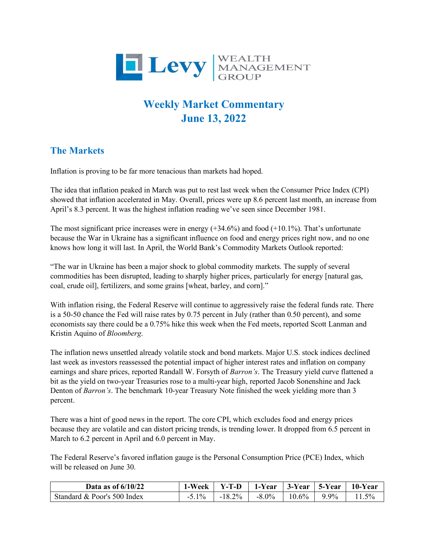

## **Weekly Market Commentary June 13, 2022**

## **The Markets**

Inflation is proving to be far more tenacious than markets had hoped.

The idea that inflation peaked in March was put to rest last week when the Consumer Price Index (CPI) showed that inflation accelerated in May. Overall, prices were up 8.6 percent last month, an increase from April's 8.3 percent. It was the highest inflation reading we've seen since December 1981.

The most significant price increases were in energy  $(+34.6\%)$  and food  $(+10.1\%)$ . That's unfortunate because the War in Ukraine has a significant influence on food and energy prices right now, and no one knows how long it will last. In April, the World Bank's Commodity Markets Outlook reported:

"The war in Ukraine has been a major shock to global commodity markets. The supply of several commodities has been disrupted, leading to sharply higher prices, particularly for energy [natural gas, coal, crude oil], fertilizers, and some grains [wheat, barley, and corn]."

With inflation rising, the Federal Reserve will continue to aggressively raise the federal funds rate. There is a 50-50 chance the Fed will raise rates by 0.75 percent in July (rather than 0.50 percent), and some economists say there could be a 0.75% hike this week when the Fed meets, reported Scott Lanman and Kristin Aquino of *Bloomberg*.

The inflation news unsettled already volatile stock and bond markets. Major U.S. stock indices declined last week as investors reassessed the potential impact of higher interest rates and inflation on company earnings and share prices, reported Randall W. Forsyth of *Barron's*. The Treasury yield curve flattened a bit as the yield on two-year Treasuries rose to a multi-year high, reported Jacob Sonenshine and Jack Denton of *Barron's*. The benchmark 10-year Treasury Note finished the week yielding more than 3 percent.

There was a hint of good news in the report. The core CPI, which excludes food and energy prices because they are volatile and can distort pricing trends, is trending lower. It dropped from 6.5 percent in March to 6.2 percent in April and 6.0 percent in May.

The Federal Reserve's favored inflation gauge is the Personal Consumption Price (PCE) Index, which will be released on June 30.

| Data as of $6/10/22$        | 1-Week  | Y-T-D        | 1-Year   | $3$ -Year   5-Year |       | 10-Year |
|-----------------------------|---------|--------------|----------|--------------------|-------|---------|
| Standard & Poor's 500 Index | $5.1\%$ | $2\%$<br>- 1 | $-8.0\%$ | 10.6%              | $9\%$ | $.5\%$  |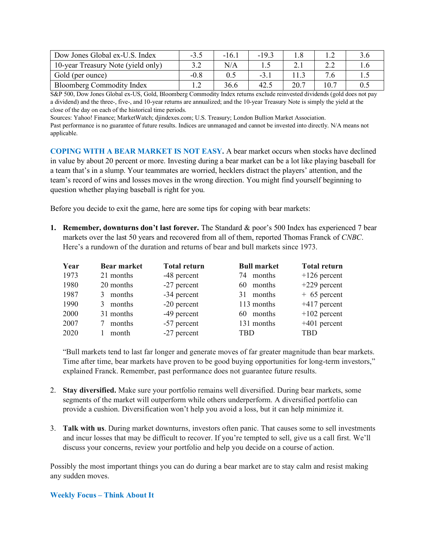| Dow Jones Global ex-U.S. Index     | $-3.5$ | $-16.1$ | $-19.3$ |      |     |
|------------------------------------|--------|---------|---------|------|-----|
| 10-year Treasury Note (yield only) |        | N/A     |         |      |     |
| Gold (per ounce)                   | $-0.8$ |         | $-3.7$  |      |     |
| <b>Bloomberg Commodity Index</b>   |        | 36.6    | 42      | 20.7 | 0.5 |

S&P 500, Dow Jones Global ex-US, Gold, Bloomberg Commodity Index returns exclude reinvested dividends (gold does not pay a dividend) and the three-, five-, and 10-year returns are annualized; and the 10-year Treasury Note is simply the yield at the close of the day on each of the historical time periods.

Sources: Yahoo! Finance; MarketWatch; djindexes.com; U.S. Treasury; London Bullion Market Association. Past performance is no guarantee of future results. Indices are unmanaged and cannot be invested into directly. N/A means not applicable.

**COPING WITH A BEAR MARKET IS NOT EASY.** A bear market occurs when stocks have declined in value by about 20 percent or more. Investing during a bear market can be a lot like playing baseball for a team that's in a slump. Your teammates are worried, hecklers distract the players' attention, and the team's record of wins and losses moves in the wrong direction. You might find yourself beginning to question whether playing baseball is right for you.

Before you decide to exit the game, here are some tips for coping with bear markets:

**1. Remember, downturns don't last forever.** The Standard & poor's 500 Index has experienced 7 bear markets over the last 50 years and recovered from all of them, reported Thomas Franck of *CNBC*. Here's a rundown of the duration and returns of bear and bull markets since 1973.

| Year | <b>Bear market</b> | <b>Total return</b> | <b>Bull market</b> | <b>Total return</b> |
|------|--------------------|---------------------|--------------------|---------------------|
| 1973 | 21 months          | -48 percent         | 74 months          | $+126$ percent      |
| 1980 | 20 months          | $-27$ percent       | 60 months          | $+229$ percent      |
| 1987 | months<br>3        | -34 percent         | 31 months          | $+65$ percent       |
| 1990 | 3 months           | $-20$ percent       | 113 months         | $+417$ percent      |
| 2000 | 31 months          | -49 percent         | 60 months          | $+102$ percent      |
| 2007 | months             | -57 percent         | 131 months         | $+401$ percent      |
| 2020 | month              | -27 percent         | TBD                | TBD                 |

"Bull markets tend to last far longer and generate moves of far greater magnitude than bear markets. Time after time, bear markets have proven to be good buying opportunities for long-term investors," explained Franck. Remember, past performance does not guarantee future results.

- 2. **Stay diversified.** Make sure your portfolio remains well diversified. During bear markets, some segments of the market will outperform while others underperform. A diversified portfolio can provide a cushion. Diversification won't help you avoid a loss, but it can help minimize it.
- 3. **Talk with us**. During market downturns, investors often panic. That causes some to sell investments and incur losses that may be difficult to recover. If you're tempted to sell, give us a call first. We'll discuss your concerns, review your portfolio and help you decide on a course of action.

Possibly the most important things you can do during a bear market are to stay calm and resist making any sudden moves.

## **Weekly Focus – Think About It**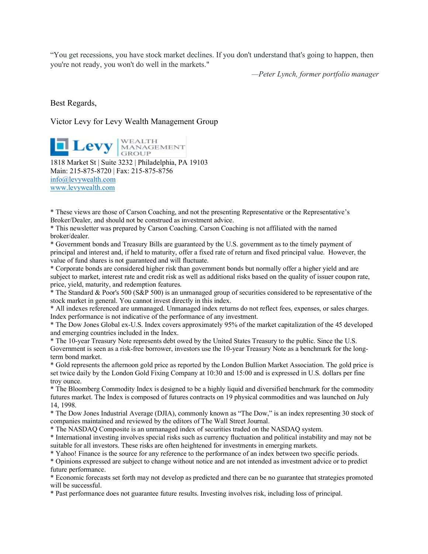"You get recessions, you have stock market declines. If you don't understand that's going to happen, then you're not ready, you won't do well in the markets."

*—Peter Lynch, former portfolio manager*

Best Regards,

## Victor Levy for Levy Wealth Management Group

**Levy** MANAGEMENT 1818 Market St | Suite 3232 | Philadelphia, PA 19103 Main: 215-875-8720 | Fax: 215-875-8756 [info@levywealth.com](mailto:info@levywealth.com) [www.levywealth.com](http://www.levywealth.com/)

\* These views are those of Carson Coaching, and not the presenting Representative or the Representative's Broker/Dealer, and should not be construed as investment advice.

\* This newsletter was prepared by Carson Coaching. Carson Coaching is not affiliated with the named broker/dealer.

\* Government bonds and Treasury Bills are guaranteed by the U.S. government as to the timely payment of principal and interest and, if held to maturity, offer a fixed rate of return and fixed principal value. However, the value of fund shares is not guaranteed and will fluctuate.

\* Corporate bonds are considered higher risk than government bonds but normally offer a higher yield and are subject to market, interest rate and credit risk as well as additional risks based on the quality of issuer coupon rate, price, yield, maturity, and redemption features.

 $*$  The Standard & Poor's 500 (S&P 500) is an unmanaged group of securities considered to be representative of the stock market in general. You cannot invest directly in this index.

\* All indexes referenced are unmanaged. Unmanaged index returns do not reflect fees, expenses, or sales charges. Index performance is not indicative of the performance of any investment.

\* The Dow Jones Global ex-U.S. Index covers approximately 95% of the market capitalization of the 45 developed and emerging countries included in the Index.

\* The 10-year Treasury Note represents debt owed by the United States Treasury to the public. Since the U.S. Government is seen as a risk-free borrower, investors use the 10-year Treasury Note as a benchmark for the longterm bond market.

\* Gold represents the afternoon gold price as reported by the London Bullion Market Association. The gold price is set twice daily by the London Gold Fixing Company at 10:30 and 15:00 and is expressed in U.S. dollars per fine troy ounce.

\* The Bloomberg Commodity Index is designed to be a highly liquid and diversified benchmark for the commodity futures market. The Index is composed of futures contracts on 19 physical commodities and was launched on July 14, 1998.

\* The Dow Jones Industrial Average (DJIA), commonly known as "The Dow," is an index representing 30 stock of companies maintained and reviewed by the editors of The Wall Street Journal.

\* The NASDAQ Composite is an unmanaged index of securities traded on the NASDAQ system.

\* International investing involves special risks such as currency fluctuation and political instability and may not be suitable for all investors. These risks are often heightened for investments in emerging markets.

\* Yahoo! Finance is the source for any reference to the performance of an index between two specific periods.

\* Opinions expressed are subject to change without notice and are not intended as investment advice or to predict future performance.

\* Economic forecasts set forth may not develop as predicted and there can be no guarantee that strategies promoted will be successful.

\* Past performance does not guarantee future results. Investing involves risk, including loss of principal.